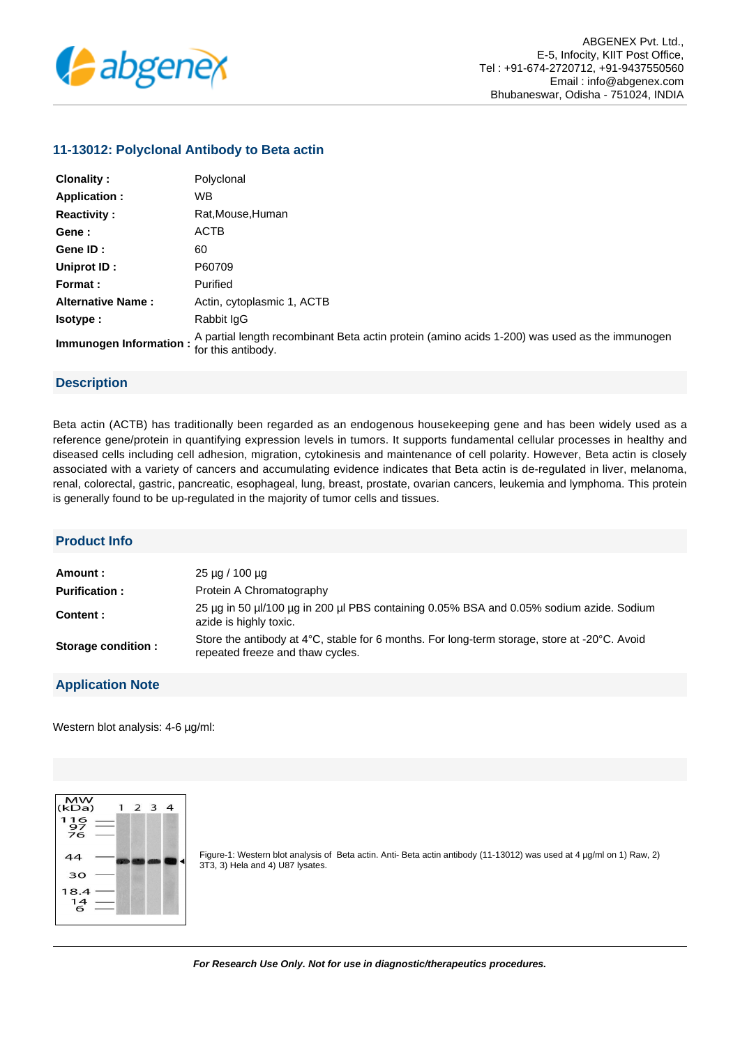

## **11-13012: Polyclonal Antibody to Beta actin**

| <b>Clonality:</b>        | Polyclonal                                                                                                          |
|--------------------------|---------------------------------------------------------------------------------------------------------------------|
| <b>Application:</b>      | WB.                                                                                                                 |
| <b>Reactivity:</b>       | Rat, Mouse, Human                                                                                                   |
| Gene:                    | <b>ACTB</b>                                                                                                         |
| Gene ID:                 | 60                                                                                                                  |
| Uniprot ID:              | P60709                                                                                                              |
| Format :                 | Purified                                                                                                            |
| <b>Alternative Name:</b> | Actin, cytoplasmic 1, ACTB                                                                                          |
| lsotype :                | Rabbit IgG                                                                                                          |
| Immunogen Information:   | A partial length recombinant Beta actin protein (amino acids 1-200) was used as the immunogen<br>for this antibody. |

## **Description**

Beta actin (ACTB) has traditionally been regarded as an endogenous housekeeping gene and has been widely used as a reference gene/protein in quantifying expression levels in tumors. It supports fundamental cellular processes in healthy and diseased cells including cell adhesion, migration, cytokinesis and maintenance of cell polarity. However, Beta actin is closely associated with a variety of cancers and accumulating evidence indicates that Beta actin is de-regulated in liver, melanoma, renal, colorectal, gastric, pancreatic, esophageal, lung, breast, prostate, ovarian cancers, leukemia and lymphoma. This protein is generally found to be up-regulated in the majority of tumor cells and tissues.

## **Product Info**

| Amount :             | $25 \mu q / 100 \mu q$                                                                                                           |
|----------------------|----------------------------------------------------------------------------------------------------------------------------------|
| <b>Purification:</b> | Protein A Chromatography                                                                                                         |
| Content:             | 25 µg in 50 µl/100 µg in 200 µl PBS containing 0.05% BSA and 0.05% sodium azide. Sodium<br>azide is highly toxic.                |
| Storage condition :  | Store the antibody at 4°C, stable for 6 months. For long-term storage, store at -20°C. Avoid<br>repeated freeze and thaw cycles. |

## **Application Note**

Western blot analysis: 4-6 µg/ml:



Figure-1: Western blot analysis of Beta actin. Anti- Beta actin antibody (11-13012) was used at 4 µg/ml on 1) Raw, 2) 3T3, 3) Hela and 4) U87 lysates.